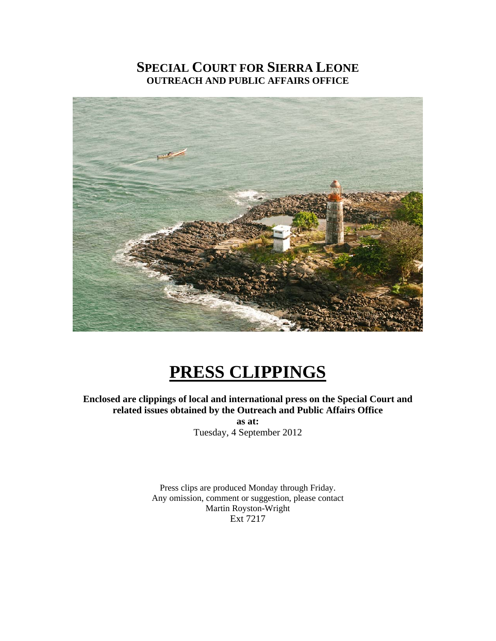## **SPECIAL COURT FOR SIERRA LEONE OUTREACH AND PUBLIC AFFAIRS OFFICE**



# **PRESS CLIPPINGS**

**Enclosed are clippings of local and international press on the Special Court and related issues obtained by the Outreach and Public Affairs Office as at:**  Tuesday, 4 September 2012

> Press clips are produced Monday through Friday. Any omission, comment or suggestion, please contact Martin Royston-Wright Ext 7217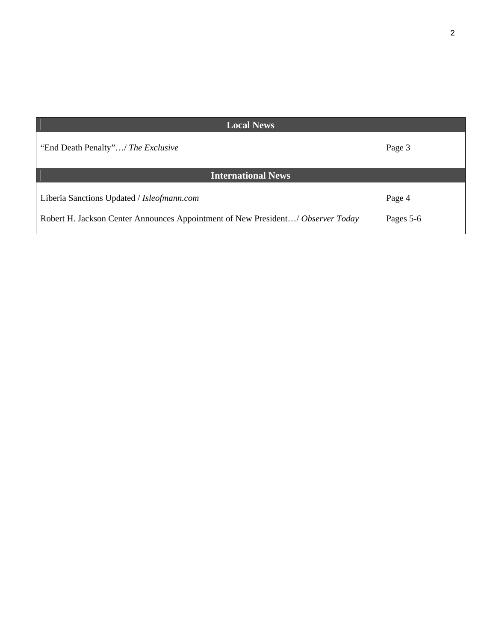| <b>Local News</b>                                                                                                             |                     |
|-------------------------------------------------------------------------------------------------------------------------------|---------------------|
| "End Death Penalty"/ The Exclusive"                                                                                           | Page 3              |
| <b>International News</b>                                                                                                     |                     |
| Liberia Sanctions Updated / Isleofmann.com<br>Robert H. Jackson Center Announces Appointment of New President/ Observer Today | Page 4<br>Pages 5-6 |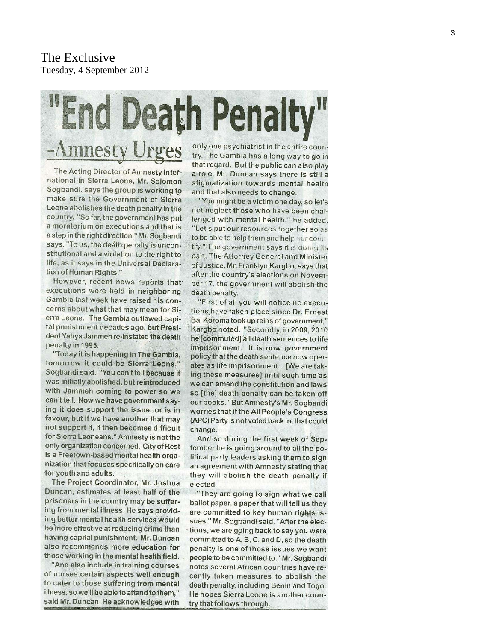## "End Death Penalty" -Amnesty Urges only one psychiatrist in the entire country, The Gambia has a long way to go in

The Acting Director of Amnesty International in Sierra Leone, Mr. Solomon Sogbandi, says the group is working to make sure the Government of Sierra Leone abolishes the death penalty in the country. "So far, the government has put a moratorium on executions and that is a step in the right direction," Mr. Sogbandi says. "To us, the death penalty is unconstitutional and a violation to the right to life, as it says in the Universal Declaration of Human Rights."

However, recent news reports that executions were held in neighboring Gambia last week have raised his concerns about what that may mean for Sierra Leone. The Gambia outlawed capital punishment decades ago, but President Yahya Jammeh re-instated the death penalty in 1995.

"Today it is happening in The Gambia, tomorrow it could be Sierra Leone." Sogbandi said. "You can't tell because it was initially abolished, but reintroduced with Jammeh coming to power so we can't tell. Now we have government saying it does support the issue, or is in favour, but if we have another that may not support it, it then becomes difficult for Sierra Leoneans." Amnesty is not the only organization concerned. City of Rest is a Freetown-based mental health organization that focuses specifically on care for youth and adults.

The Project Coordinator, Mr. Joshua Duncan; estimates at least half of the prisoners in the country may be suffering from mental illness. He says providing better mental health services would be more effective at reducing crime than having capital punishment. Mr. Duncan also recommends more education for those working in the mental health field.

"And also include in training courses of nurses certain aspects well enough to cater to those suffering from mental illness, so we'll be able to attend to them," said Mr. Duncan. He acknowledges with that regard. But the public can also play a role. Mr. Duncan says there is still a stigmatization towards mental health and that also needs to change.

"You might be a victim one day, so let's not neglect those who have been challenged with mental health," he added. "Let's put our resources together so as to be able to help them and help our count try." The government says it is doing its part. The Attorney General and Minister of Justice, Mr. Franklyn Kargbo, says that after the country's elections on November 17, the government will abolish the death penalty.

"First of all you will notice no executions have taken place since Dr. Ernest Bai Koroma took up reins of government." Kargbo noted. "Secondly, in 2009, 2010 he [commuted] all death sentences to life imprisonment. It is now government policy that the death sentence now operates as life imprisonment... [We are taking these measures] until such time as we can amend the constitution and laws so [the] death penalty can be taken off our books." But Amnesty's Mr. Sogbandi worries that if the All People's Congress (APC) Party is not voted back in, that could change.

And so during the first week of September he is going around to all the political party leaders asking them to sign an agreement with Amnesty stating that they will abolish the death penalty if elected.

"They are going to sign what we call ballot paper, a paper that will tell us they are committed to key human rights issues," Mr. Sogbandi said. "After the elections, we are going back to say you were committed to A, B, C, and D, so the death penalty is one of those issues we want people to be committed to." Mr. Sogbandi notes several African countries have recently taken measures to abolish the death penalty, including Benin and Togo. He hopes Sierra Leone is another country that follows through.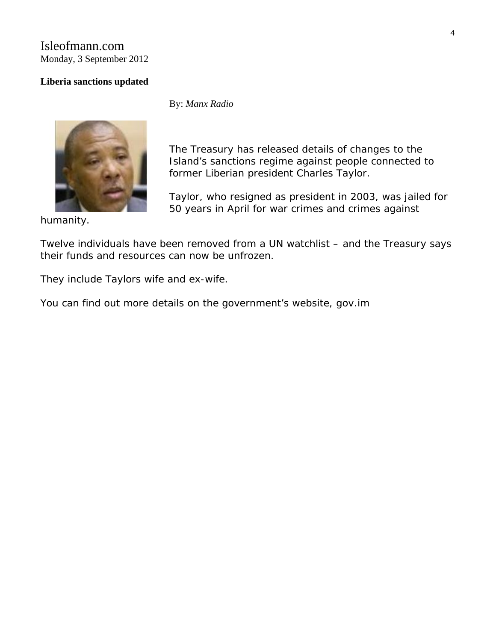#### Isleofmann.com Monday, 3 September 2012

#### **Liberia sanctions updated**



By: *Manx Radio*

The Treasury has released details of changes to the Island's sanctions regime against people connected to former Liberian president Charles Taylor.

Taylor, who resigned as president in 2003, was jailed for 50 years in April for war crimes and crimes against

humanity.

Twelve individuals have been removed from a UN watchlist – and the Treasury says their funds and resources can now be unfrozen.

They include Taylors wife and ex-wife.

You can find out more details on the government's website, gov.im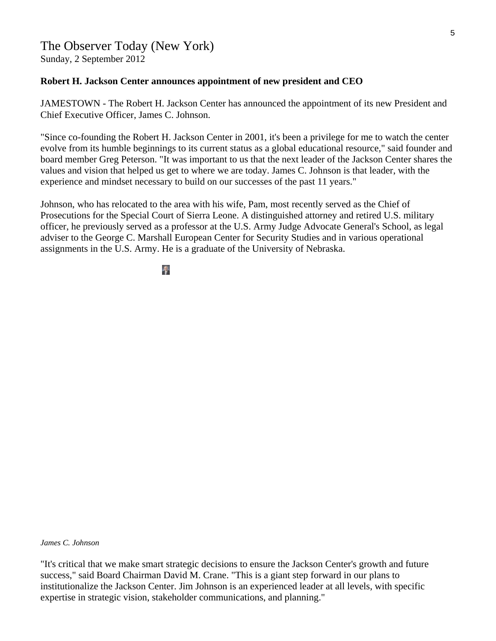## The Observer Today (New York)

Sunday, 2 September 2012

#### **Robert H. Jackson Center announces appointment of new president and CEO**

JAMESTOWN - The Robert H. Jackson Center has announced the appointment of its new President and Chief Executive Officer, James C. Johnson.

"Since co-founding the Robert H. Jackson Center in 2001, it's been a privilege for me to watch the center evolve from its humble beginnings to its current status as a global educational resource," said founder and board member Greg Peterson. "It was important to us that the next leader of the Jackson Center shares the values and vision that helped us get to where we are today. James C. Johnson is that leader, with the experience and mindset necessary to build on our successes of the past 11 years."

Johnson, who has relocated to the area with his wife, Pam, most recently served as the Chief of Prosecutions for the Special Court of Sierra Leone. A distinguished attorney and retired U.S. military officer, he previously served as a professor at the U.S. Army Judge Advocate General's School, as legal adviser to the George C. Marshall European Center for Security Studies and in various operational assignments in the U.S. Army. He is a graduate of the University of Nebraska.

#### $\mathcal{P}$

*James C. Johnson* 

"It's critical that we make smart strategic decisions to ensure the Jackson Center's growth and future success," said Board Chairman David M. Crane. "This is a giant step forward in our plans to institutionalize the Jackson Center. Jim Johnson is an experienced leader at all levels, with specific expertise in strategic vision, stakeholder communications, and planning."